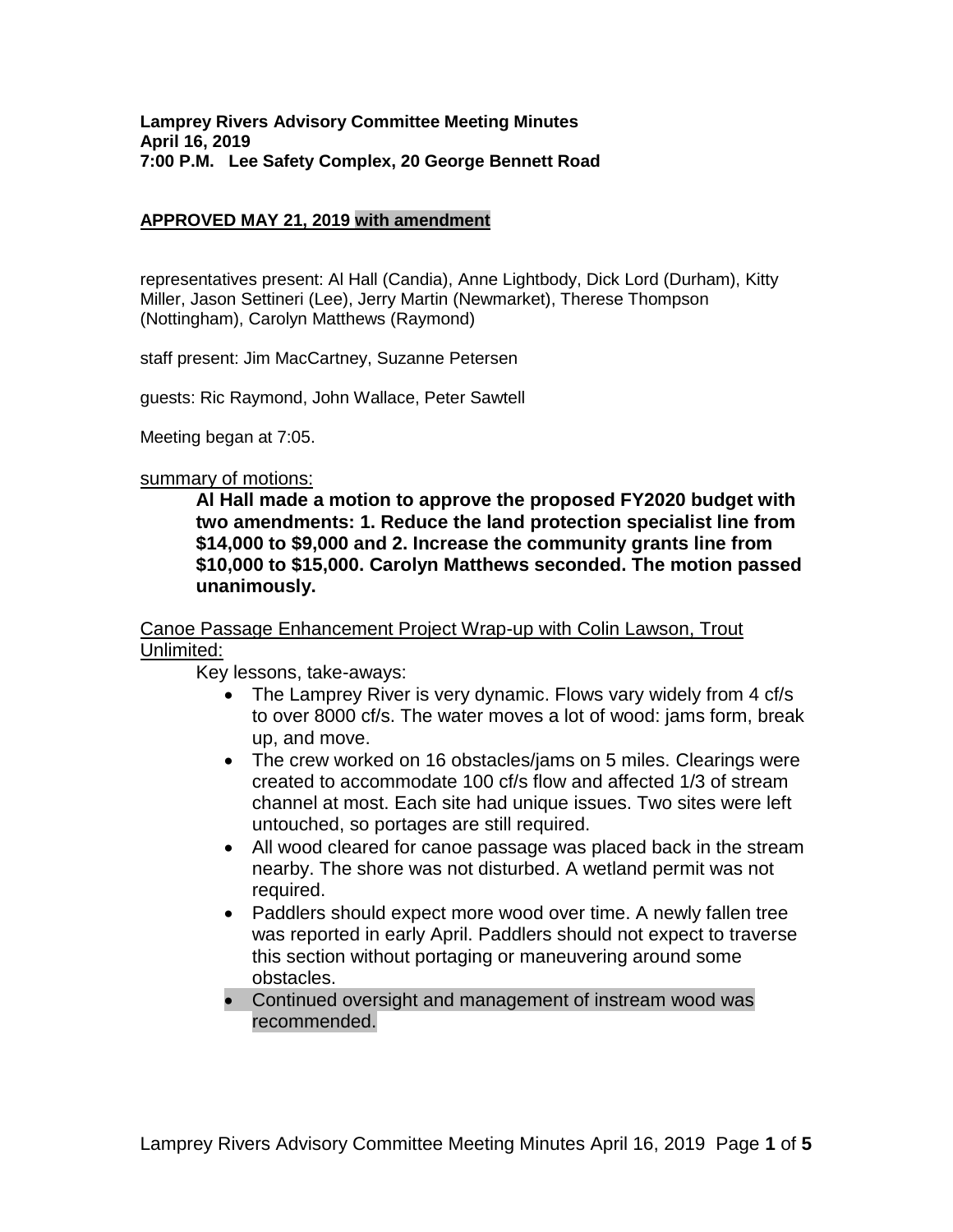### **APPROVED MAY 21, 2019 with amendment**

representatives present: Al Hall (Candia), Anne Lightbody, Dick Lord (Durham), Kitty Miller, Jason Settineri (Lee), Jerry Martin (Newmarket), Therese Thompson (Nottingham), Carolyn Matthews (Raymond)

staff present: Jim MacCartney, Suzanne Petersen

guests: Ric Raymond, John Wallace, Peter Sawtell

Meeting began at 7:05.

### summary of motions:

**Al Hall made a motion to approve the proposed FY2020 budget with two amendments: 1. Reduce the land protection specialist line from \$14,000 to \$9,000 and 2. Increase the community grants line from \$10,000 to \$15,000. Carolyn Matthews seconded. The motion passed unanimously.**

### Canoe Passage Enhancement Project Wrap-up with Colin Lawson, Trout Unlimited:

Key lessons, take-aways:

- The Lamprey River is very dynamic. Flows vary widely from 4 cf/s to over 8000 cf/s. The water moves a lot of wood: jams form, break up, and move.
- The crew worked on 16 obstacles/jams on 5 miles. Clearings were created to accommodate 100 cf/s flow and affected 1/3 of stream channel at most. Each site had unique issues. Two sites were left untouched, so portages are still required.
- All wood cleared for canoe passage was placed back in the stream nearby. The shore was not disturbed. A wetland permit was not required.
- Paddlers should expect more wood over time. A newly fallen tree was reported in early April. Paddlers should not expect to traverse this section without portaging or maneuvering around some obstacles.
- Continued oversight and management of instream wood was recommended.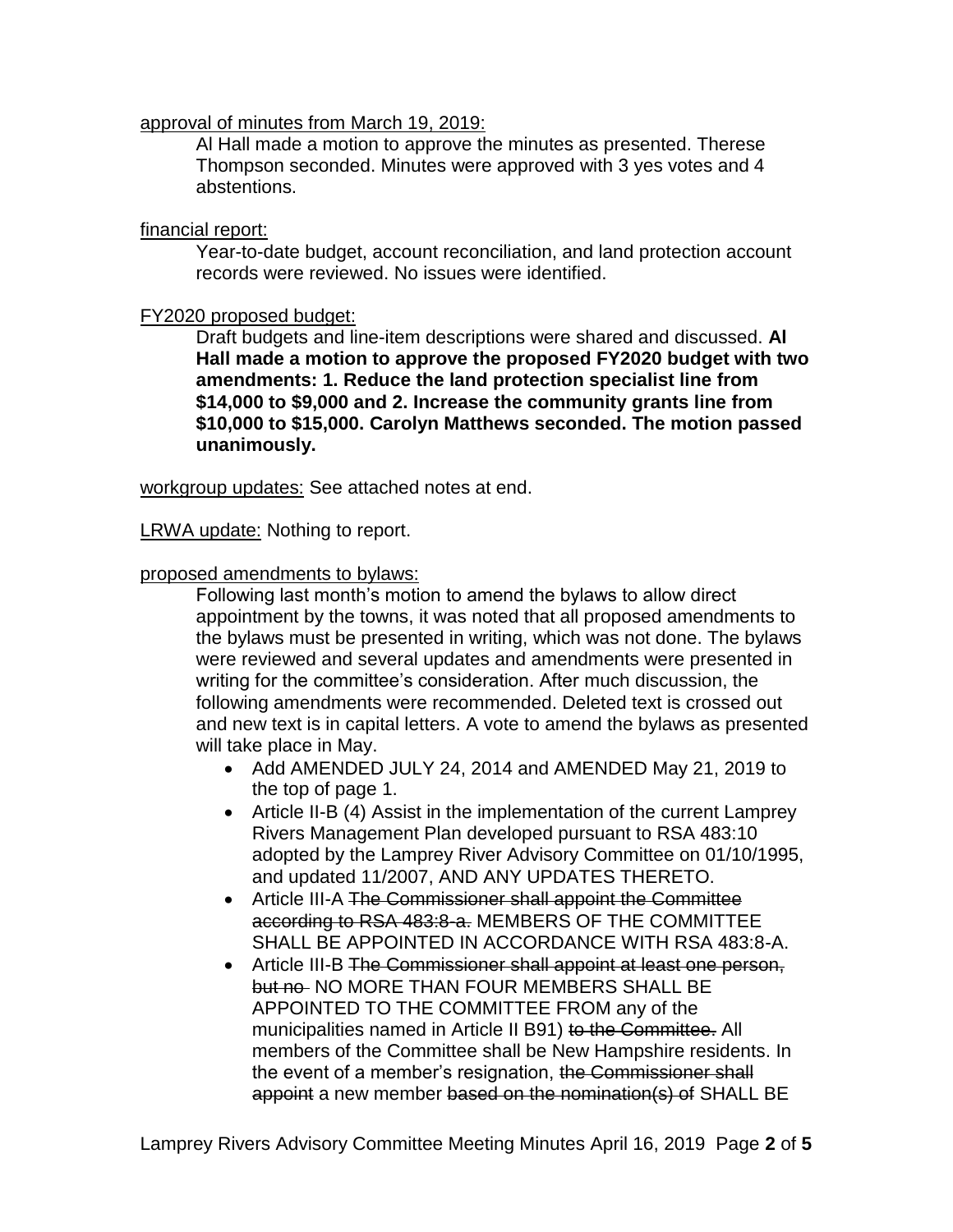## approval of minutes from March 19, 2019:

Al Hall made a motion to approve the minutes as presented. Therese Thompson seconded. Minutes were approved with 3 yes votes and 4 abstentions.

## financial report:

Year-to-date budget, account reconciliation, and land protection account records were reviewed. No issues were identified.

## FY2020 proposed budget:

Draft budgets and line-item descriptions were shared and discussed. **Al Hall made a motion to approve the proposed FY2020 budget with two amendments: 1. Reduce the land protection specialist line from \$14,000 to \$9,000 and 2. Increase the community grants line from \$10,000 to \$15,000. Carolyn Matthews seconded. The motion passed unanimously.**

workgroup updates: See attached notes at end.

LRWA update: Nothing to report.

## proposed amendments to bylaws:

Following last month's motion to amend the bylaws to allow direct appointment by the towns, it was noted that all proposed amendments to the bylaws must be presented in writing, which was not done. The bylaws were reviewed and several updates and amendments were presented in writing for the committee's consideration. After much discussion, the following amendments were recommended. Deleted text is crossed out and new text is in capital letters. A vote to amend the bylaws as presented will take place in May.

- Add AMENDED JULY 24, 2014 and AMENDED May 21, 2019 to the top of page 1.
- Article II-B (4) Assist in the implementation of the current Lamprey Rivers Management Plan developed pursuant to RSA 483:10 adopted by the Lamprey River Advisory Committee on 01/10/1995, and updated 11/2007, AND ANY UPDATES THERETO.
- Article III-A The Commissioner shall appoint the Committee according to RSA 483:8-a. MEMBERS OF THE COMMITTEE SHALL BE APPOINTED IN ACCORDANCE WITH RSA 483:8-A.
- Article III-B The Commissioner shall appoint at least one person, but no NO MORE THAN FOUR MEMBERS SHALL BE APPOINTED TO THE COMMITTEE FROM any of the municipalities named in Article II B91) to the Committee. All members of the Committee shall be New Hampshire residents. In the event of a member's resignation, the Commissioner shall appoint a new member based on the nomination(s) of SHALL BE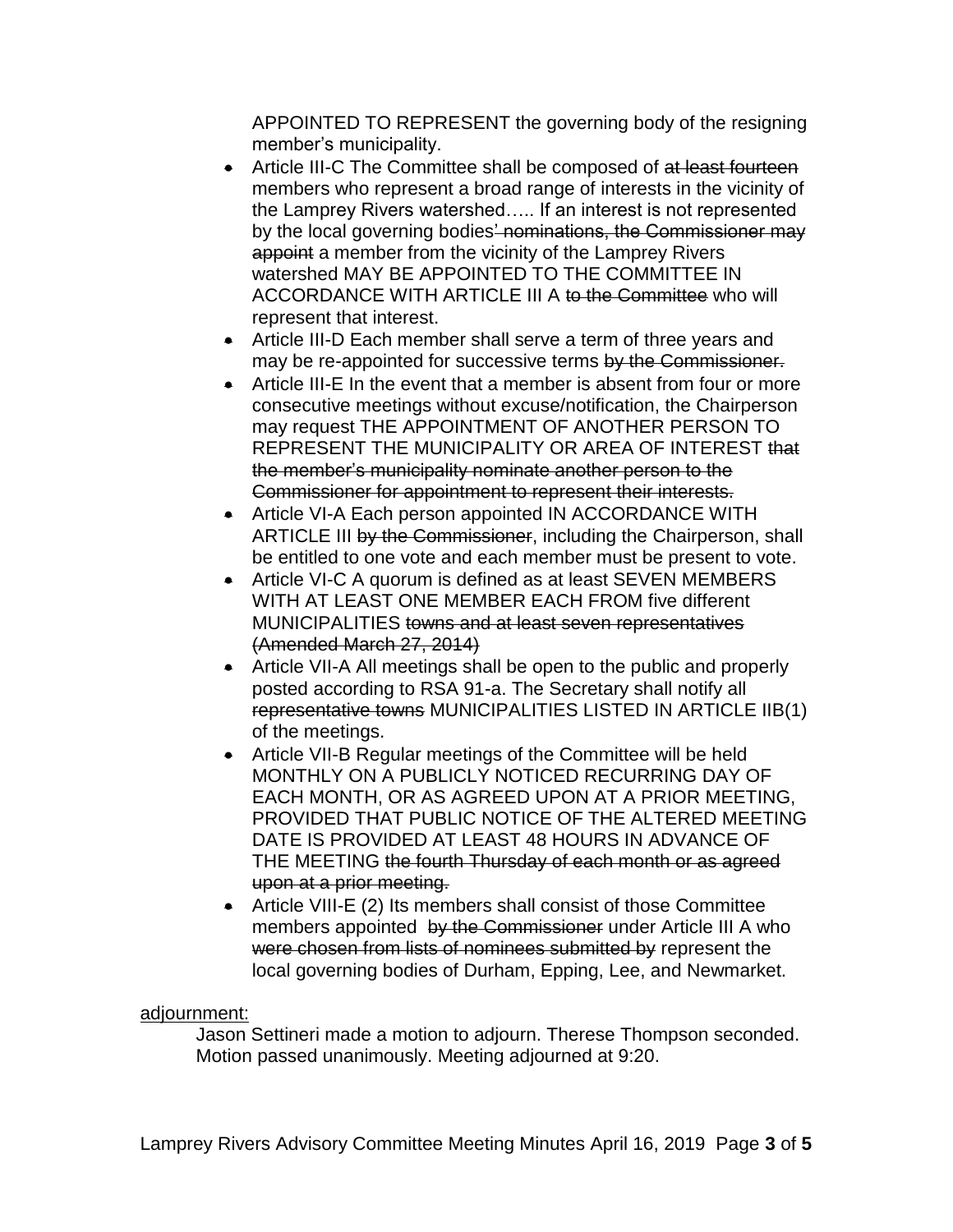APPOINTED TO REPRESENT the governing body of the resigning member's municipality.

- **Article III-C The Committee shall be composed of at least fourteen** members who represent a broad range of interests in the vicinity of the Lamprey Rivers watershed….. If an interest is not represented by the local governing bodies' nominations, the Commissioner may appoint a member from the vicinity of the Lamprey Rivers watershed MAY BE APPOINTED TO THE COMMITTEE IN ACCORDANCE WITH ARTICLE III A to the Committee who will represent that interest.
- Article III-D Each member shall serve a term of three years and may be re-appointed for successive terms by the Commissioner.
- Article III-E In the event that a member is absent from four or more consecutive meetings without excuse/notification, the Chairperson may request THE APPOINTMENT OF ANOTHER PERSON TO REPRESENT THE MUNICIPALITY OR AREA OF INTEREST that the member's municipality nominate another person to the Commissioner for appointment to represent their interests.
- Article VI-A Each person appointed IN ACCORDANCE WITH ARTICLE III by the Commissioner, including the Chairperson, shall be entitled to one vote and each member must be present to vote.
- Article VI-C A quorum is defined as at least SEVEN MEMBERS WITH AT LEAST ONE MEMBER EACH FROM five different MUNICIPALITIES towns and at least seven representatives (Amended March 27, 2014)
- Article VII-A All meetings shall be open to the public and properly posted according to RSA 91-a. The Secretary shall notify all representative towns MUNICIPALITIES LISTED IN ARTICLE IIB(1) of the meetings.
- Article VII-B Regular meetings of the Committee will be held MONTHLY ON A PUBLICLY NOTICED RECURRING DAY OF EACH MONTH, OR AS AGREED UPON AT A PRIOR MEETING, PROVIDED THAT PUBLIC NOTICE OF THE ALTERED MEETING DATE IS PROVIDED AT LEAST 48 HOURS IN ADVANCE OF THE MEETING the fourth Thursday of each month or as agreed upon at a prior meeting.
- Article VIII-E (2) Its members shall consist of those Committee members appointed by the Commissioner under Article III A who were chosen from lists of nominees submitted by represent the local governing bodies of Durham, Epping, Lee, and Newmarket.

# adjournment:

Jason Settineri made a motion to adjourn. Therese Thompson seconded. Motion passed unanimously. Meeting adjourned at 9:20.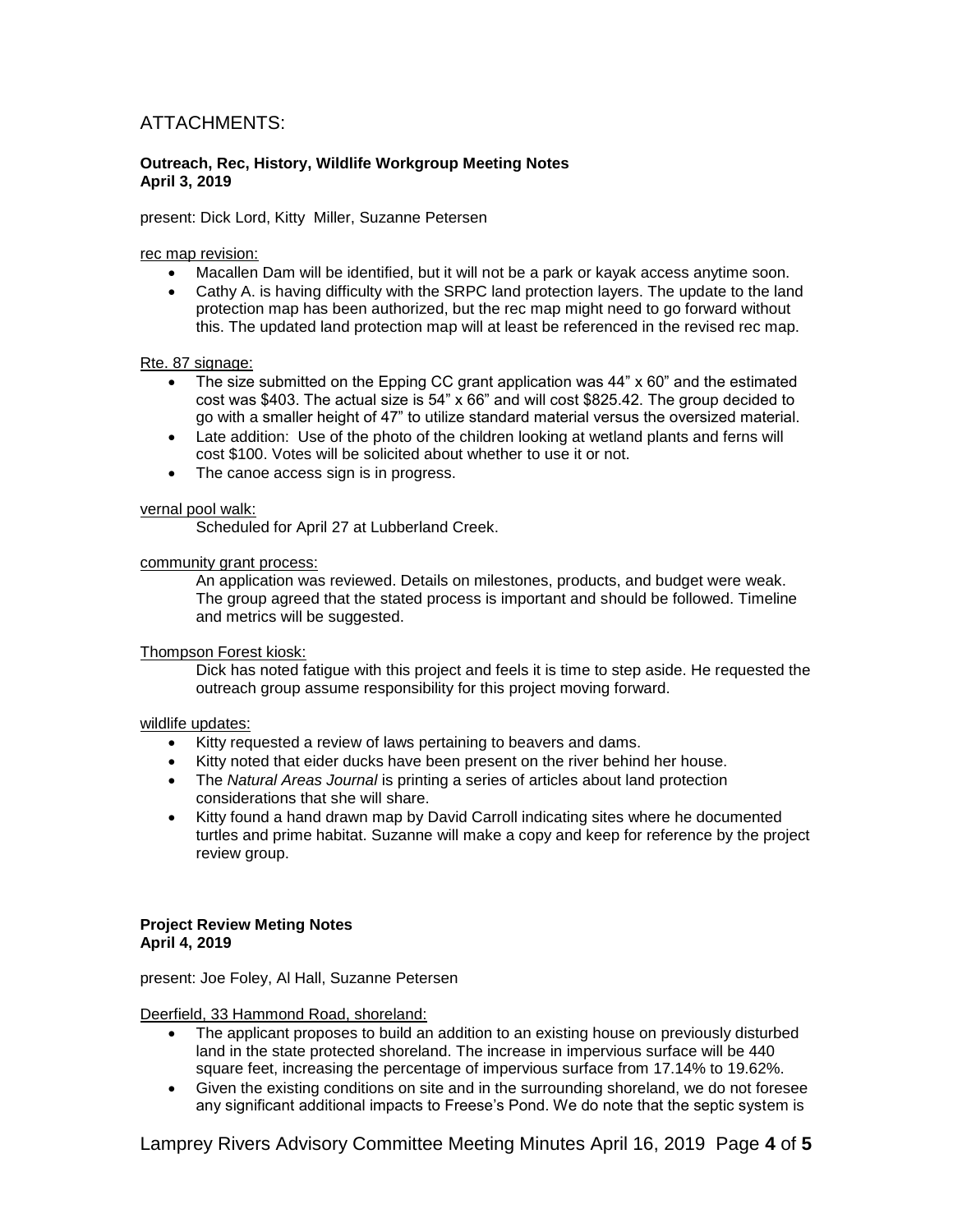# ATTACHMENTS:

#### **Outreach, Rec, History, Wildlife Workgroup Meeting Notes April 3, 2019**

present: Dick Lord, Kitty Miller, Suzanne Petersen

#### rec map revision:

- Macallen Dam will be identified, but it will not be a park or kayak access anytime soon.
- Cathy A. is having difficulty with the SRPC land protection layers. The update to the land protection map has been authorized, but the rec map might need to go forward without this. The updated land protection map will at least be referenced in the revised rec map.

#### Rte. 87 signage:

- The size submitted on the Epping CC grant application was 44" x 60" and the estimated cost was \$403. The actual size is 54" x 66" and will cost \$825.42. The group decided to go with a smaller height of 47" to utilize standard material versus the oversized material.
- Late addition: Use of the photo of the children looking at wetland plants and ferns will cost \$100. Votes will be solicited about whether to use it or not.
- The canoe access sign is in progress.

#### vernal pool walk:

Scheduled for April 27 at Lubberland Creek.

#### community grant process:

An application was reviewed. Details on milestones, products, and budget were weak. The group agreed that the stated process is important and should be followed. Timeline and metrics will be suggested.

#### Thompson Forest kiosk:

Dick has noted fatigue with this project and feels it is time to step aside. He requested the outreach group assume responsibility for this project moving forward.

#### wildlife updates:

- Kitty requested a review of laws pertaining to beavers and dams.
- Kitty noted that eider ducks have been present on the river behind her house.
- The *Natural Areas Journal* is printing a series of articles about land protection considerations that she will share.
- Kitty found a hand drawn map by David Carroll indicating sites where he documented turtles and prime habitat. Suzanne will make a copy and keep for reference by the project review group.

#### **Project Review Meting Notes April 4, 2019**

present: Joe Foley, Al Hall, Suzanne Petersen

Deerfield, 33 Hammond Road, shoreland:

- The applicant proposes to build an addition to an existing house on previously disturbed land in the state protected shoreland. The increase in impervious surface will be 440 square feet, increasing the percentage of impervious surface from 17.14% to 19.62%.
- Given the existing conditions on site and in the surrounding shoreland, we do not foresee any significant additional impacts to Freese's Pond. We do note that the septic system is

Lamprey Rivers Advisory Committee Meeting Minutes April 16, 2019 Page **4** of **5**